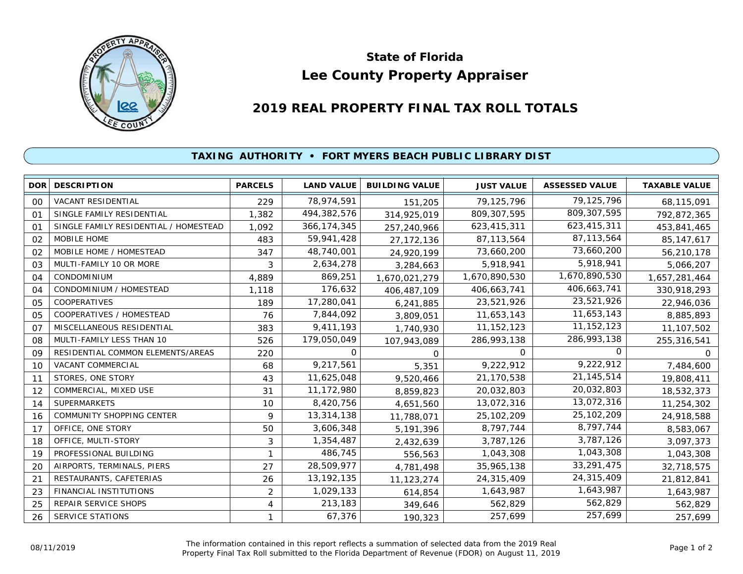

## **Lee County Property Appraiser State of Florida**

## **2019 REAL PROPERTY FINAL TAX ROLL TOTALS**

## **TAXING AUTHORITY • FORT MYERS BEACH PUBLIC LIBRARY DIST**

| <b>DOR</b>     | <b>DESCRIPTION</b>                    | <b>PARCELS</b> | <b>LAND VALUE</b> | <b>BUILDING VALUE</b> | <b>JUST VALUE</b> | <b>ASSESSED VALUE</b> | <b>TAXABLE VALUE</b> |
|----------------|---------------------------------------|----------------|-------------------|-----------------------|-------------------|-----------------------|----------------------|
| 00             | VACANT RESIDENTIAL                    | 229            | 78,974,591        | 151,205               | 79,125,796        | 79,125,796            | 68,115,091           |
| O <sub>1</sub> | SINGLE FAMILY RESIDENTIAL             | 1,382          | 494,382,576       | 314,925,019           | 809, 307, 595     | 809, 307, 595         | 792,872,365          |
| 01             | SINGLE FAMILY RESIDENTIAL / HOMESTEAD | 1.092          | 366, 174, 345     | 257,240,966           | 623,415,311       | 623,415,311           | 453,841,465          |
| 02             | MOBILE HOME                           | 483            | 59,941,428        | 27, 172, 136          | 87, 113, 564      | 87,113,564            | 85, 147, 617         |
| 02             | MOBILE HOME / HOMESTEAD               | 347            | 48,740,001        | 24,920,199            | 73,660,200        | 73,660,200            | 56,210,178           |
| 03             | MULTI-FAMILY 10 OR MORE               | 3              | 2,634,278         | 3,284,663             | 5,918,941         | 5,918,941             | 5,066,207            |
| 04             | CONDOMINIUM                           | 4,889          | 869,251           | 1,670,021,279         | 1,670,890,530     | 1,670,890,530         | 1,657,281,464        |
| 04             | CONDOMINIUM / HOMESTEAD               | 1,118          | 176,632           | 406,487,109           | 406,663,741       | 406,663,741           | 330,918,293          |
| 05             | COOPERATIVES                          | 189            | 17,280,041        | 6,241,885             | 23,521,926        | 23,521,926            | 22,946,036           |
| 05             | COOPERATIVES / HOMESTEAD              | 76             | 7,844,092         | 3,809,051             | 11,653,143        | 11,653,143            | 8,885,893            |
| O <sub>7</sub> | MISCELLANEOUS RESIDENTIAL             | 383            | 9,411,193         | 1,740,930             | 11, 152, 123      | 11, 152, 123          | 11,107,502           |
| 08             | MULTI-FAMILY LESS THAN 10             | 526            | 179,050,049       | 107,943,089           | 286,993,138       | 286,993,138           | 255,316,541          |
| 09             | RESIDENTIAL COMMON ELEMENTS/AREAS     | 220            | 0                 | $\Omega$              | $\Omega$          | 0                     | 0                    |
| 10             | VACANT COMMERCIAL                     | 68             | 9,217,561         | 5,351                 | 9,222,912         | 9,222,912             | 7,484,600            |
| 11             | STORES, ONE STORY                     | 43             | 11,625,048        | 9,520,466             | 21,170,538        | 21, 145, 514          | 19,808,411           |
| 12             | COMMERCIAL, MIXED USE                 | 31             | 11,172,980        | 8,859,823             | 20,032,803        | 20,032,803            | 18,532,373           |
| 14             | <b>SUPERMARKETS</b>                   | 10             | 8,420,756         | 4,651,560             | 13,072,316        | 13,072,316            | 11,254,302           |
| 16             | COMMUNITY SHOPPING CENTER             | 9              | 13,314,138        | 11,788,071            | 25,102,209        | 25,102,209            | 24,918,588           |
| 17             | OFFICE, ONE STORY                     | 50             | 3,606,348         | 5,191,396             | 8,797,744         | 8,797,744             | 8,583,067            |
| 18             | OFFICE, MULTI-STORY                   | 3              | 1,354,487         | 2,432,639             | 3,787,126         | 3,787,126             | 3,097,373            |
| 19             | PROFESSIONAL BUILDING                 |                | 486,745           | 556,563               | 1,043,308         | 1,043,308             | 1,043,308            |
| 20             | AIRPORTS, TERMINALS, PIERS            | 27             | 28,509,977        | 4,781,498             | 35,965,138        | 33,291,475            | 32,718,575           |
| 21             | RESTAURANTS, CAFETERIAS               | 26             | 13, 192, 135      | 11,123,274            | 24,315,409        | 24,315,409            | 21,812,841           |
| 23             | FINANCIAL INSTITUTIONS                | $\overline{c}$ | 1,029,133         | 614,854               | 1,643,987         | 1,643,987             | 1,643,987            |
| 25             | REPAIR SERVICE SHOPS                  | 4              | 213,183           | 349,646               | 562,829           | 562,829               | 562,829              |
| 26             | <b>SERVICE STATIONS</b>               |                | 67,376            | 190,323               | 257,699           | 257,699               | 257,699              |